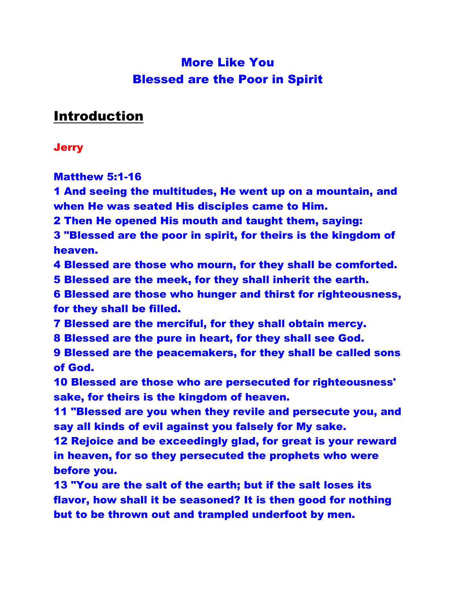# More Like You Blessed are the Poor in Spirit

# Introduction

#### **Jerry**

Matthew 5:1-16

1 And seeing the multitudes, He went up on a mountain, and when He was seated His disciples came to Him.

2 Then He opened His mouth and taught them, saying:

3 "Blessed are the poor in spirit, for theirs is the kingdom of heaven.

4 Blessed are those who mourn, for they shall be comforted.

5 Blessed are the meek, for they shall inherit the earth.

6 Blessed are those who hunger and thirst for righteousness, for they shall be filled.

7 Blessed are the merciful, for they shall obtain mercy.

8 Blessed are the pure in heart, for they shall see God.

9 Blessed are the peacemakers, for they shall be called sons of God.

10 Blessed are those who are persecuted for righteousness' sake, for theirs is the kingdom of heaven.

11 "Blessed are you when they revile and persecute you, and say all kinds of evil against you falsely for My sake.

12 Rejoice and be exceedingly glad, for great is your reward in heaven, for so they persecuted the prophets who were before you.

13 "You are the salt of the earth; but if the salt loses its flavor, how shall it be seasoned? It is then good for nothing but to be thrown out and trampled underfoot by men.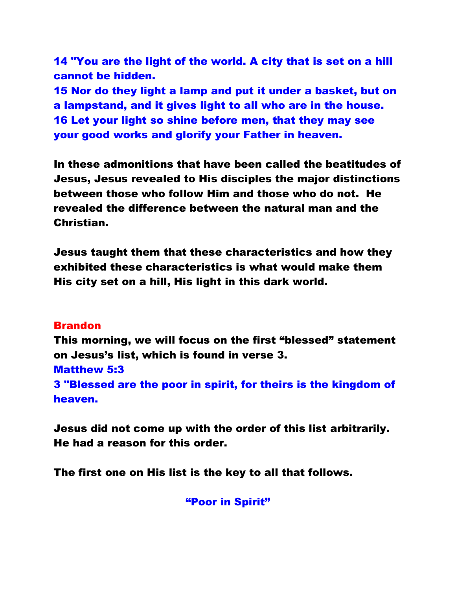14 "You are the light of the world. A city that is set on a hill cannot be hidden.

15 Nor do they light a lamp and put it under a basket, but on a lampstand, and it gives light to all who are in the house. 16 Let your light so shine before men, that they may see your good works and glorify your Father in heaven.

In these admonitions that have been called the beatitudes of Jesus, Jesus revealed to His disciples the major distinctions between those who follow Him and those who do not. He revealed the difference between the natural man and the Christian.

Jesus taught them that these characteristics and how they exhibited these characteristics is what would make them His city set on a hill, His light in this dark world.

#### Brandon

This morning, we will focus on the first "blessed" statement on Jesus's list, which is found in verse 3. Matthew 5:3 3 "Blessed are the poor in spirit, for theirs is the kingdom of heaven.

Jesus did not come up with the order of this list arbitrarily. He had a reason for this order.

The first one on His list is the key to all that follows.

"Poor in Spirit"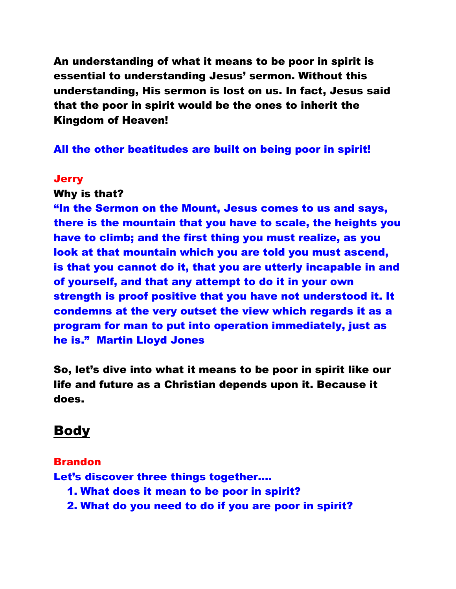An understanding of what it means to be poor in spirit is essential to understanding Jesus' sermon. Without this understanding, His sermon is lost on us. In fact, Jesus said that the poor in spirit would be the ones to inherit the Kingdom of Heaven!

#### All the other beatitudes are built on being poor in spirit!

#### **Jerry**

#### Why is that?

"In the Sermon on the Mount, Jesus comes to us and says, there is the mountain that you have to scale, the heights you have to climb; and the first thing you must realize, as you look at that mountain which you are told you must ascend, is that you cannot do it, that you are utterly incapable in and of yourself, and that any attempt to do it in your own strength is proof positive that you have not understood it. It condemns at the very outset the view which regards it as a program for man to put into operation immediately, just as he is." Martin Lloyd Jones

So, let's dive into what it means to be poor in spirit like our life and future as a Christian depends upon it. Because it does.

### Body

#### Brandon

Let's discover three things together….

- 1. What does it mean to be poor in spirit?
- 2. What do you need to do if you are poor in spirit?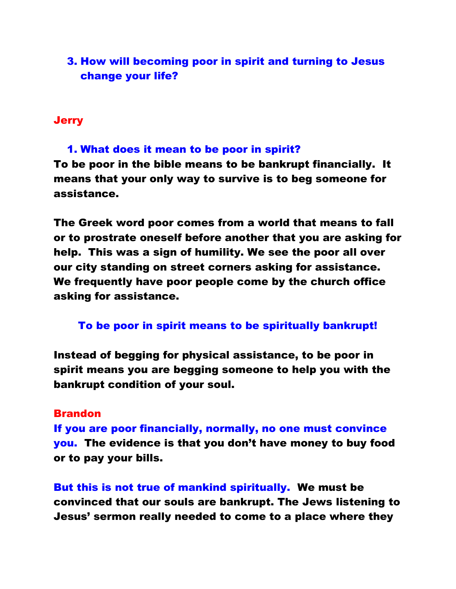### 3. How will becoming poor in spirit and turning to Jesus change your life?

#### **Jerry**

1. What does it mean to be poor in spirit? To be poor in the bible means to be bankrupt financially. It means that your only way to survive is to beg someone for assistance.

The Greek word poor comes from a world that means to fall or to prostrate oneself before another that you are asking for help. This was a sign of humility. We see the poor all over our city standing on street corners asking for assistance. We frequently have poor people come by the church office asking for assistance.

#### To be poor in spirit means to be spiritually bankrupt!

Instead of begging for physical assistance, to be poor in spirit means you are begging someone to help you with the bankrupt condition of your soul.

#### Brandon

If you are poor financially, normally, no one must convince you. The evidence is that you don't have money to buy food or to pay your bills.

But this is not true of mankind spiritually. We must be convinced that our souls are bankrupt. The Jews listening to Jesus' sermon really needed to come to a place where they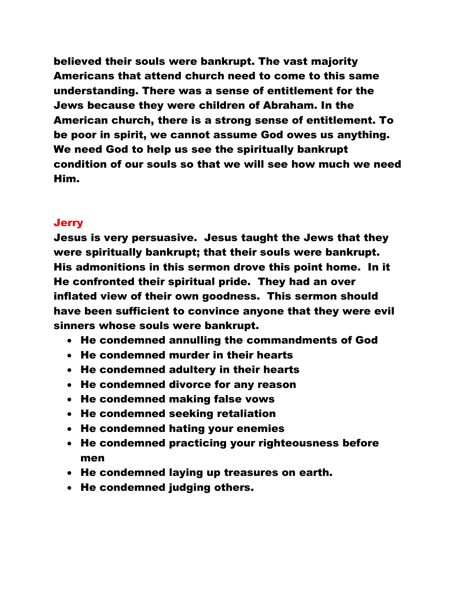believed their souls were bankrupt. The vast majority Americans that attend church need to come to this same understanding. There was a sense of entitlement for the Jews because they were children of Abraham. In the American church, there is a strong sense of entitlement. To be poor in spirit, we cannot assume God owes us anything. We need God to help us see the spiritually bankrupt condition of our souls so that we will see how much we need Him.

#### **Jerry**

Jesus is very persuasive. Jesus taught the Jews that they were spiritually bankrupt; that their souls were bankrupt. His admonitions in this sermon drove this point home. In it He confronted their spiritual pride. They had an over inflated view of their own goodness. This sermon should have been sufficient to convince anyone that they were evil sinners whose souls were bankrupt.

- He condemned annulling the commandments of God
- He condemned murder in their hearts
- He condemned adultery in their hearts
- He condemned divorce for any reason
- He condemned making false vows
- He condemned seeking retaliation
- He condemned hating your enemies
- He condemned practicing your righteousness before men
- He condemned laying up treasures on earth.
- He condemned judging others.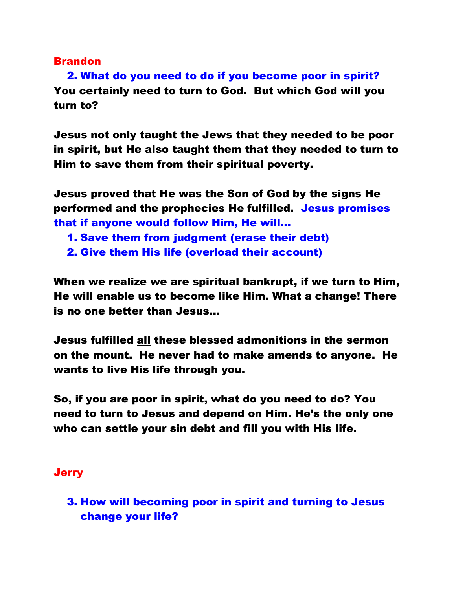#### Brandon

2. What do you need to do if you become poor in spirit? You certainly need to turn to God. But which God will you turn to?

Jesus not only taught the Jews that they needed to be poor in spirit, but He also taught them that they needed to turn to Him to save them from their spiritual poverty.

Jesus proved that He was the Son of God by the signs He performed and the prophecies He fulfilled. Jesus promises that if anyone would follow Him, He will...

- 1. Save them from judgment (erase their debt)
- 2. Give them His life (overload their account)

When we realize we are spiritual bankrupt, if we turn to Him, He will enable us to become like Him. What a change! There is no one better than Jesus…

Jesus fulfilled all these blessed admonitions in the sermon on the mount. He never had to make amends to anyone. He wants to live His life through you.

So, if you are poor in spirit, what do you need to do? You need to turn to Jesus and depend on Him. He's the only one who can settle your sin debt and fill you with His life.

#### **Jerry**

3. How will becoming poor in spirit and turning to Jesus change your life?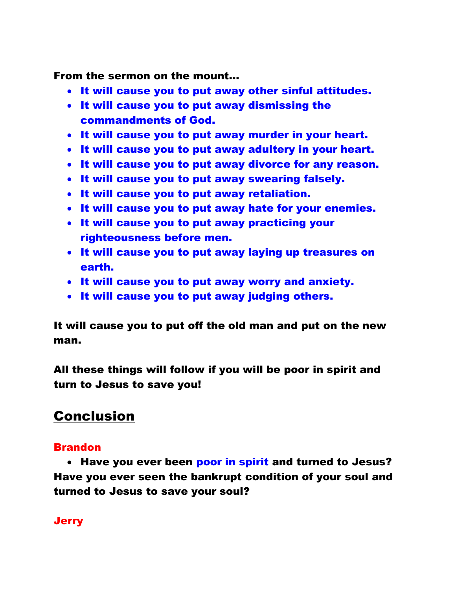From the sermon on the mount…

- It will cause you to put away other sinful attitudes.
- It will cause you to put away dismissing the commandments of God.
- It will cause you to put away murder in your heart.
- It will cause you to put away adultery in your heart.
- It will cause you to put away divorce for any reason.
- It will cause you to put away swearing falsely.
- It will cause you to put away retaliation.
- It will cause you to put away hate for your enemies.
- It will cause you to put away practicing your righteousness before men.
- It will cause you to put away laying up treasures on earth.
- It will cause you to put away worry and anxiety.
- It will cause you to put away judging others.

It will cause you to put off the old man and put on the new man.

All these things will follow if you will be poor in spirit and turn to Jesus to save you!

# Conclusion

### Brandon

• Have you ever been poor in spirit and turned to Jesus? Have you ever seen the bankrupt condition of your soul and turned to Jesus to save your soul?

### **Jerry**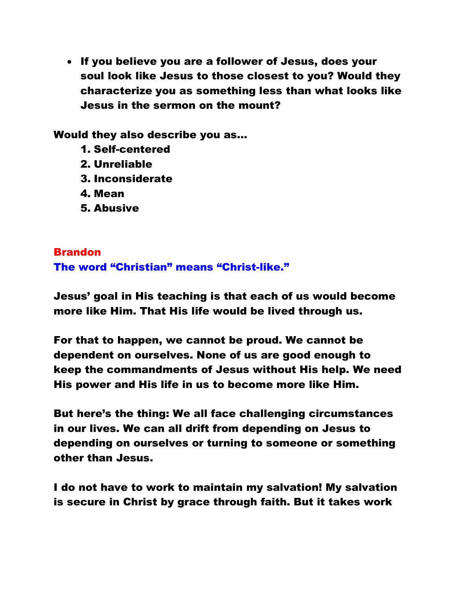• If you believe you are a follower of Jesus, does your soul look like Jesus to those closest to you? Would they characterize you as something less than what looks like Jesus in the sermon on the mount?

Would they also describe you as…

- 1. Self-centered
- 2. Unreliable
- 3. Inconsiderate
- 4. Mean
- 5. Abusive

### Brandon The word "Christian" means "Christ-like."

Jesus' goal in His teaching is that each of us would become more like Him. That His life would be lived through us.

For that to happen, we cannot be proud. We cannot be dependent on ourselves. None of us are good enough to keep the commandments of Jesus without His help. We need His power and His life in us to become more like Him.

But here's the thing: We all face challenging circumstances in our lives. We can all drift from depending on Jesus to depending on ourselves or turning to someone or something other than Jesus.

I do not have to work to maintain my salvation! My salvation is secure in Christ by grace through faith. But it takes work